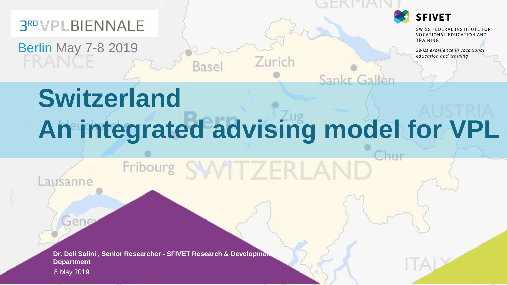

Berlin May 7-8 2019

Lausanne

Gene



SWISS FEDERAL INSTITUTE FOR **VOCATIONAL EDUCATION AND** TRAINING

Swiss excellence in vocational education and training

# Sankt Gallen **Switzerland An integrated advising model for VPL**

Fribourg SWITZERLAND

Zurich

**Basel** 

**Dr. Deli Salini , Senior Researcher - SFIVET Research & Development Department**  8 May 2019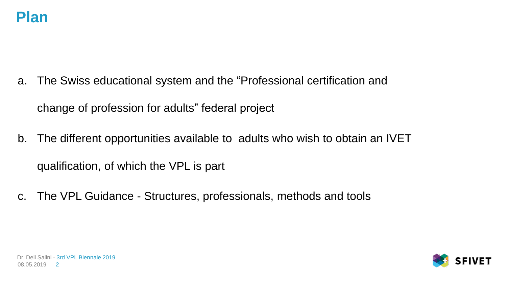- a. The Swiss educational system and the "Professional certification and change of profession for adults" federal project
- b. The different opportunities available to adults who wish to obtain an IVET qualification, of which the VPL is part
- c. The VPL Guidance Structures, professionals, methods and tools



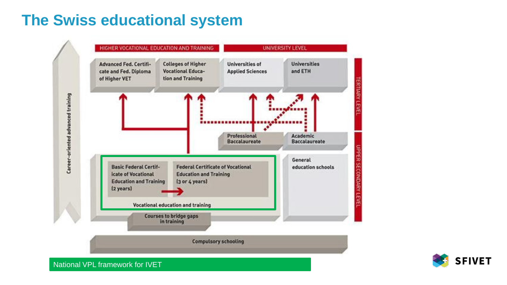#### **The Swiss educational system**





/ [National VPL framework for IVET](http://www.google.it/url?sa=i&rct=j&q=&esrc=s&frm=1&source=images&cd=&cad=rja&uact=8&docid=xEPnfQvfF5c-dM&tbnid=6Pittc3Wd27-9M:&ved=0CAUQjRw&url=http://www.bjinstitute.org/vet/?page_id%3D139&ei=gio8U6DSG8fOOLOsgOAK&bvm=bv.63934634,d.bGE&psig=AFQjCNGhORIXTYSmRIhFfQ7W61by_L1DjQ&ust=1396538342715252)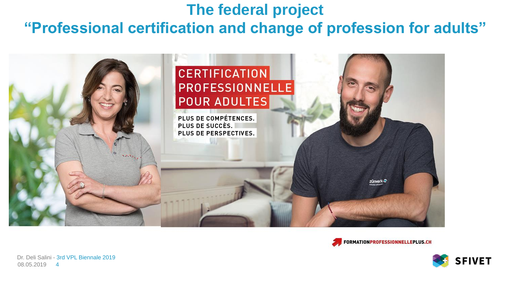## **The federal project "Professional certification and change of profession for adults"**



FORMATIONPROFESSIONNELLEPLUS.CH



08.05.2019 4Dr. Deli Salini - 3rd VPL Biennale 2019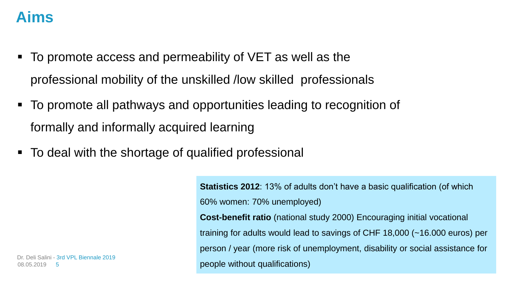#### **Aims**

- To promote access and permeability of VET as well as the professional mobility of the unskilled /low skilled professionals
- To promote all pathways and opportunities leading to recognition of formally and informally acquired learning
- To deal with the shortage of qualified professional

08.05.2019 Dr. Deli Salini - 3rd VPL Biennale 2019 5

**Statistics 2012:** 13% of adults don't have a basic qualification (of which 60% women: 70% unemployed) **Cost-benefit ratio** (national study 2000) Encouraging initial vocational training for adults would lead to savings of CHF 18,000 (~16.000 euros) per person / year (more risk of unemployment, disability or social assistance for

people without qualifications)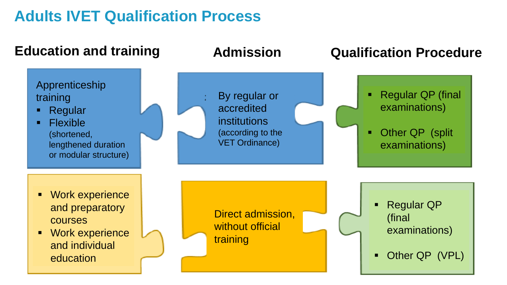#### **Adults IVET Qualification Process**

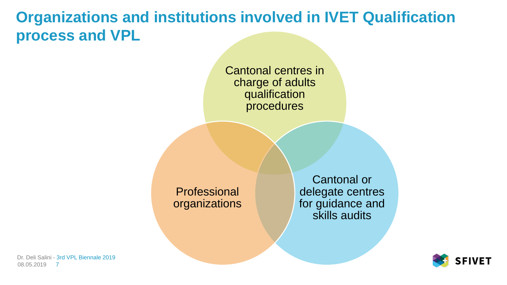#### **Organizations and institutions involved in IVET Qualification process and VPL**

Cantonal centres in charge of adults qualification procedures

Professional organizations

Cantonal or delegate centres for guidance and skills audits

08.05.2019 7 Dr. Deli Salini - 3rd VPL Biennale 2019

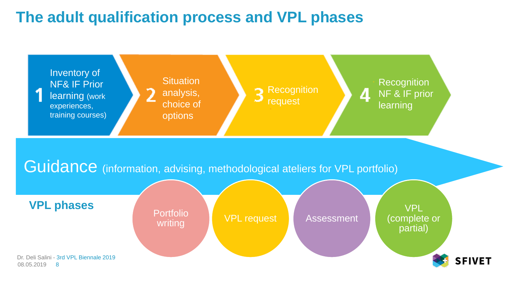### **The adult qualification process and VPL phases**



#### **VPL phases**

**WRITTER CONTROLLER TEAM** Assessment

Portfolio

08.05.2019 8 Dr. Deli Salini - 3rd VPL Biennale 2019



VPL

(complete or

partial)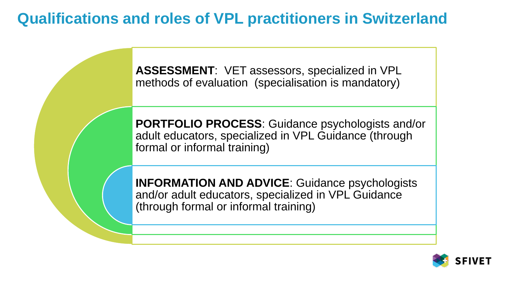#### **Qualifications and roles of VPL practitioners in Switzerland**

**ASSESSMENT**: VET assessors, specialized in VPL methods of evaluation (specialisation is mandatory)

**PORTFOLIO PROCESS**: Guidance psychologists and/or adult educators, specialized in VPL Guidance (through formal or informal training)

**INFORMATION AND ADVICE**: Guidance psychologists and/or adult educators, specialized in VPL Guidance (through formal or informal training)

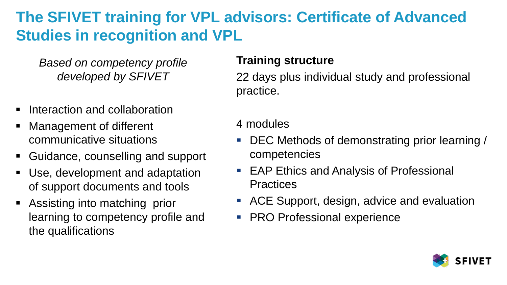## **The SFIVET training for VPL advisors: Certificate of Advanced Studies in recognition and VPL**

*Based on competency profile developed by SFIVET*

- **Interaction and collaboration**
- **Nanagement of different** communicative situations
- Guidance, counselling and support
- Use, development and adaptation of support documents and tools
- Assisting into matching prior learning to competency profile and the qualifications

#### **Training structure**

22 days plus individual study and professional practice.

- 4 modules
- DEC Methods of demonstrating prior learning / competencies
- EAP Ethics and Analysis of Professional **Practices**
- ACE Support, design, advice and evaluation
- **PRO Professional experience**

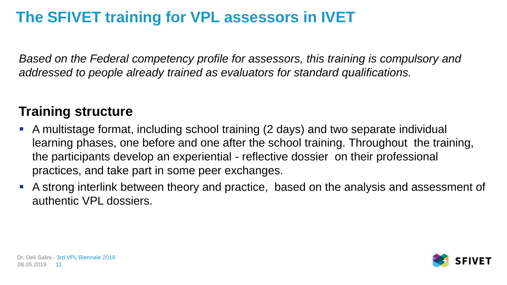## **The SFIVET training for VPL assessors in IVET**

*Based on the Federal competency profile for assessors, this training is compulsory and addressed to people already trained as evaluators for standard qualifications.*

#### **Training structure**

- A multistage format, including school training (2 days) and two separate individual learning phases, one before and one after the school training. Throughout the training, the participants develop an experiential - reflective dossier on their professional practices, and take part in some peer exchanges.
- A strong interlink between theory and practice, based on the analysis and assessment of authentic VPL dossiers.

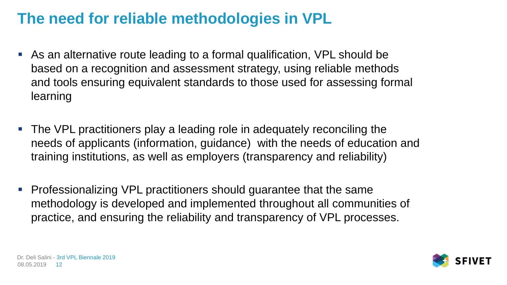### **The need for reliable methodologies in VPL**

- As an alternative route leading to a formal qualification, VPL should be based on a recognition and assessment strategy, using reliable methods and tools ensuring equivalent standards to those used for assessing formal learning
- The VPL practitioners play a leading role in adequately reconciling the needs of applicants (information, guidance) with the needs of education and training institutions, as well as employers (transparency and reliability)
- **Professionalizing VPL practitioners should guarantee that the same** methodology is developed and implemented throughout all communities of practice, and ensuring the reliability and transparency of VPL processes.

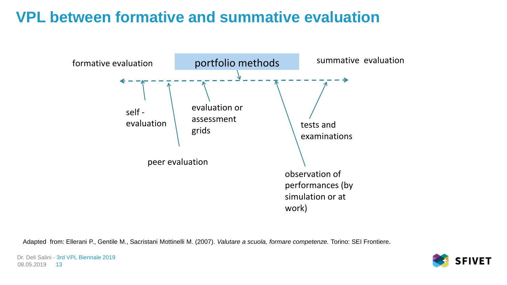#### **VPL between formative and summative evaluation**



Adapted from: Ellerani P., Gentile M., Sacristani Mottinelli M. (2007). *Valutare a scuola, formare competenze.* Torino: SEI Frontiere.

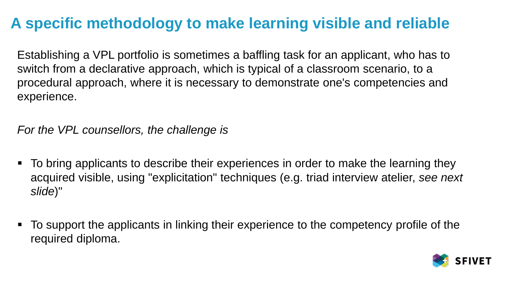### **A specific methodology to make learning visible and reliable**

Establishing a VPL portfolio is sometimes a baffling task for an applicant, who has to switch from a declarative approach, which is typical of a classroom scenario, to a procedural approach, where it is necessary to demonstrate one's competencies and experience.

*For the VPL counsellors, the challenge is* 

- To bring applicants to describe their experiences in order to make the learning they acquired visible, using "explicitation" techniques (e.g. triad interview atelier, *see next slide*)"
- To support the applicants in linking their experience to the competency profile of the required diploma.

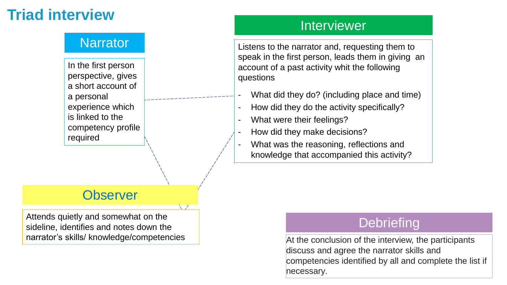#### **Triad interview**

#### **Narrator**

In the first person perspective, gives a short account of a personal experience which is linked to the competency profile required

#### **Observer**

 $\sqrt{2}$ 

Attends quietly and somewhat on the sideline, identifies and notes down the narrator's skills/ knowledge/competencies

#### Interviewer

Listens to the narrator and, requesting them to speak in the first person, leads them in giving an account of a past activity whit the following questions

- What did they do? (including place and time)
- How did they do the activity specifically?
- What were their feelings?
- How did they make decisions?
- What was the reasoning, reflections and knowledge that accompanied this activity?

#### **Debriefing**

At the conclusion of the interview, the participants discuss and agree the narrator skills and competencies identified by all and complete the list if necessary.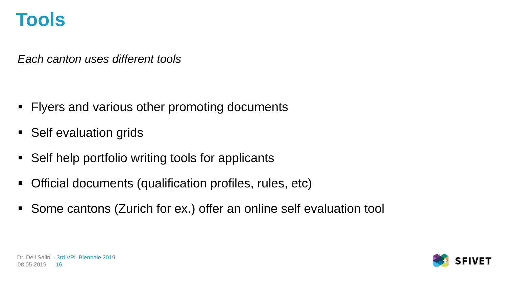## **Tools**

*Each canton uses different tools*

- **Fivers and various other promoting documents**
- **Self evaluation grids**
- Self help portfolio writing tools for applicants
- Official documents (qualification profiles, rules, etc)
- Some cantons (Zurich for ex.) offer an online self evaluation tool

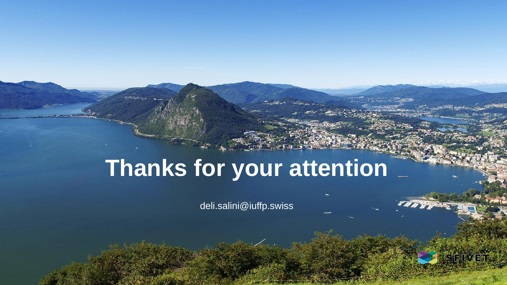# **Thanks for your attention**

deli.salini@iuffp.swiss